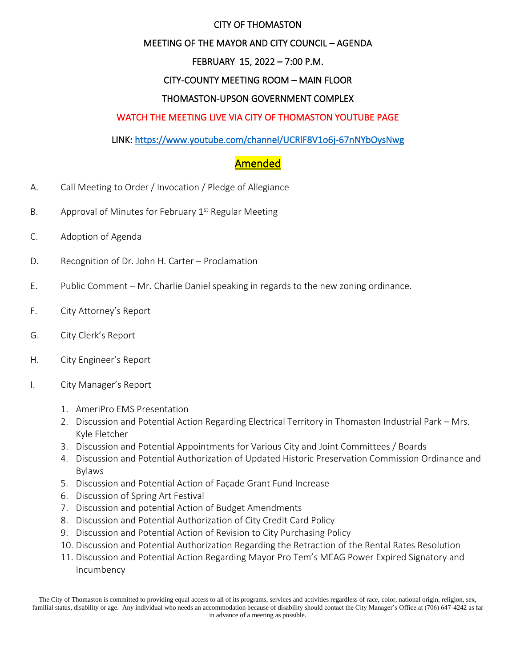#### CITY OF THOMASTON

### MEETING OF THE MAYOR AND CITY COUNCIL – AGENDA

## FEBRUARY 15, 2022 – 7:00 P.M.

### CITY-COUNTY MEETING ROOM – MAIN FLOOR

#### THOMASTON-UPSON GOVERNMENT COMPLEX

#### WATCH THE MEETING LIVE VIA CITY OF THOMASTON YOUTUBE PAGE

#### LINK:<https://www.youtube.com/channel/UCRlF8V1o6j-67nNYbOysNwg>

# Amended

- A. Call Meeting to Order / Invocation / Pledge of Allegiance
- B. Approval of Minutes for February 1<sup>st</sup> Regular Meeting
- C. Adoption of Agenda
- D. Recognition of Dr. John H. Carter Proclamation
- E. Public Comment Mr. Charlie Daniel speaking in regards to the new zoning ordinance.
- F. City Attorney's Report
- G. City Clerk's Report
- H. City Engineer's Report
- I. City Manager's Report
	- 1. AmeriPro EMS Presentation
	- 2. Discussion and Potential Action Regarding Electrical Territory in Thomaston Industrial Park Mrs. Kyle Fletcher
	- 3. Discussion and Potential Appointments for Various City and Joint Committees / Boards
	- 4. Discussion and Potential Authorization of Updated Historic Preservation Commission Ordinance and Bylaws
	- 5. Discussion and Potential Action of Façade Grant Fund Increase
	- 6. Discussion of Spring Art Festival
	- 7. Discussion and potential Action of Budget Amendments
	- 8. Discussion and Potential Authorization of City Credit Card Policy
	- 9. Discussion and Potential Action of Revision to City Purchasing Policy
	- 10. Discussion and Potential Authorization Regarding the Retraction of the Rental Rates Resolution
	- 11. Discussion and Potential Action Regarding Mayor Pro Tem's MEAG Power Expired Signatory and Incumbency